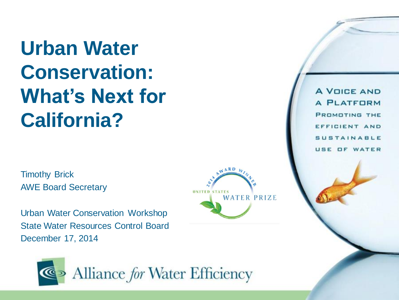**Urban Water Conservation: What's Next for California?**

Timothy Brick AWE Board Secretary

Urban Water Conservation Workshop State Water Resources Control Board December 17, 2014



**A VOICE AND A PLATFORM PROMOTING THE** EFFICIENT AND **SUSTAINABLE** USE OF WATER

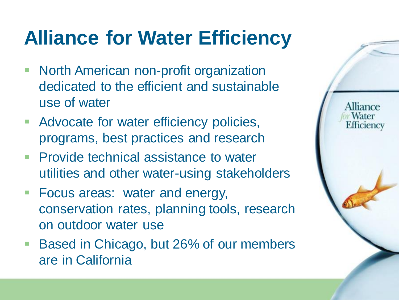## **Alliance for Water Efficiency**

**North American non-profit organization** dedicated to the efficient and sustainable use of water

- **Advocate for water efficiency policies,** programs, best practices and research
- **Provide technical assistance to water** utilities and other water-using stakeholders
- **Focus areas: water and energy,** conservation rates, planning tools, research on outdoor water use
- Based in Chicago, but 26% of our members are in California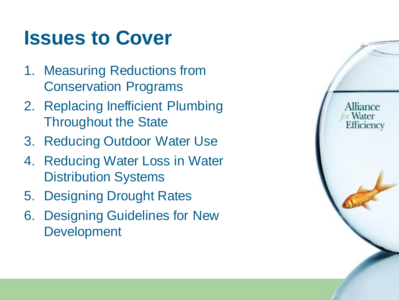#### **Issues to Cover**

- 1. Measuring Reductions from Conservation Programs
- 2. Replacing Inefficient Plumbing Throughout the State
- 3. Reducing Outdoor Water Use
- 4. Reducing Water Loss in Water Distribution Systems
- 5. Designing Drought Rates
- 6. Designing Guidelines for New Development

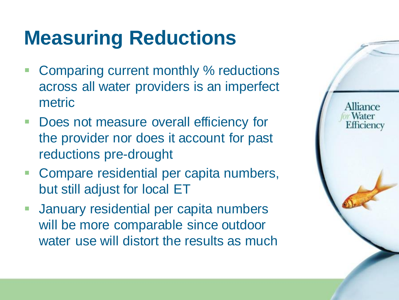## **Measuring Reductions**

- Comparing current monthly % reductions across all water providers is an imperfect metric
- **Does not measure overall efficiency for** the provider nor does it account for past reductions pre-drought
- **Compare residential per capita numbers,** but still adjust for local ET
- **January residential per capita numbers** will be more comparable since outdoor water use will distort the results as much

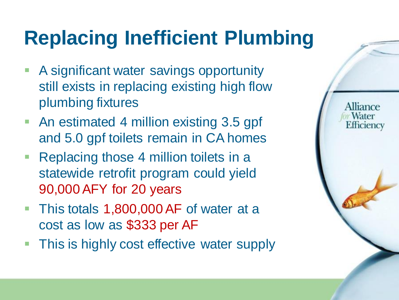## **Replacing Inefficient Plumbing**

- **A significant water savings opportunity** still exists in replacing existing high flow plumbing fixtures
- An estimated 4 million existing 3.5 gpf and 5.0 gpf toilets remain in CA homes
- Replacing those 4 million toilets in a statewide retrofit program could yield 90,000 AFY for 20 years
- This totals 1,800,000 AF of water at a cost as low as \$333 per AF
- **This is highly cost effective water supply**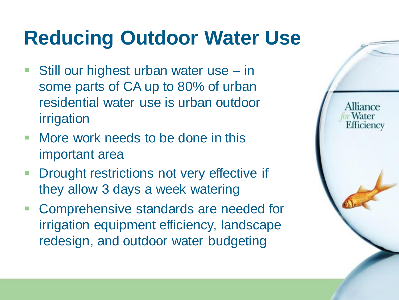## **Reducing Outdoor Water Use**

- Still our highest urban water use in some parts of CA up to 80% of urban residential water use is urban outdoor irrigation
- **Nore work needs to be done in this** important area
- **Drought restrictions not very effective if** they allow 3 days a week watering
- Comprehensive standards are needed for irrigation equipment efficiency, landscape redesign, and outdoor water budgeting

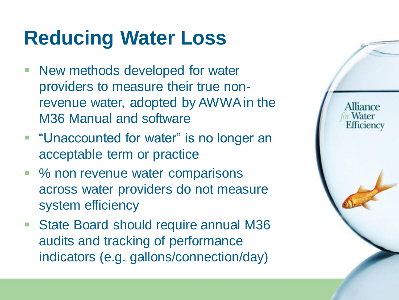## **Reducing Water Loss**

- **New methods developed for water** providers to measure their true nonrevenue water, adopted by AWWA in the M36 Manual and software
- **Unaccounted for water" is no longer an** acceptable term or practice
- % non revenue water comparisons across water providers do not measure system efficiency
- State Board should require annual M36 audits and tracking of performance indicators (e.g. gallons/connection/day)

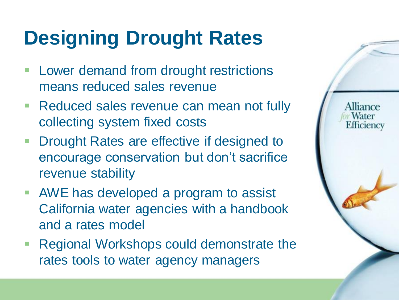## **Designing Drought Rates**

- **Lower demand from drought restrictions** means reduced sales revenue
- **Reduced sales revenue can mean not fully** collecting system fixed costs

- **Drought Rates are effective if designed to** encourage conservation but don't sacrifice revenue stability
- AWE has developed a program to assist California water agencies with a handbook and a rates model
- Regional Workshops could demonstrate the rates tools to water agency managers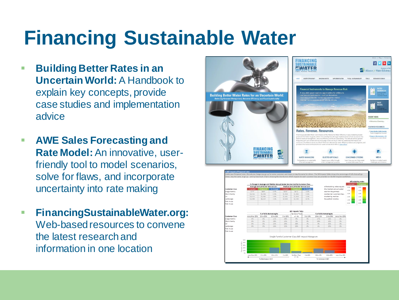## **Financing Sustainable Water**

- **Building Better Rates in an Uncertain World:** A Handbook to explain key concepts, provide case studies and implementation advice
- **AWE Sales Forecasting and Rate Model:**An innovative, userfriendly tool to model scenarios, solve for flaws, and incorporate uncertainty into rate making
- **FinancingSustainableWater.org:**  Web-based resources to convene the latest research and information in one location

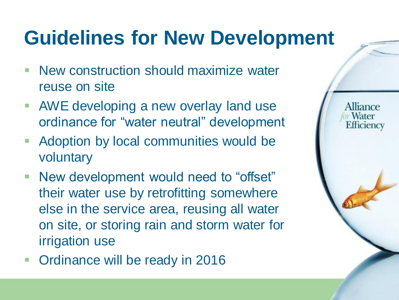## **Guidelines for New Development**

- **New construction should maximize water** reuse on site
- **AWE developing a new overlay land use** ordinance for "water neutral" development
- **Adoption by local communities would be** voluntary
- **New development would need to "offset"** their water use by retrofitting somewhere else in the service area, reusing all water on site, or storing rain and storm water for irrigation use
- **Ordinance will be ready in 2016**